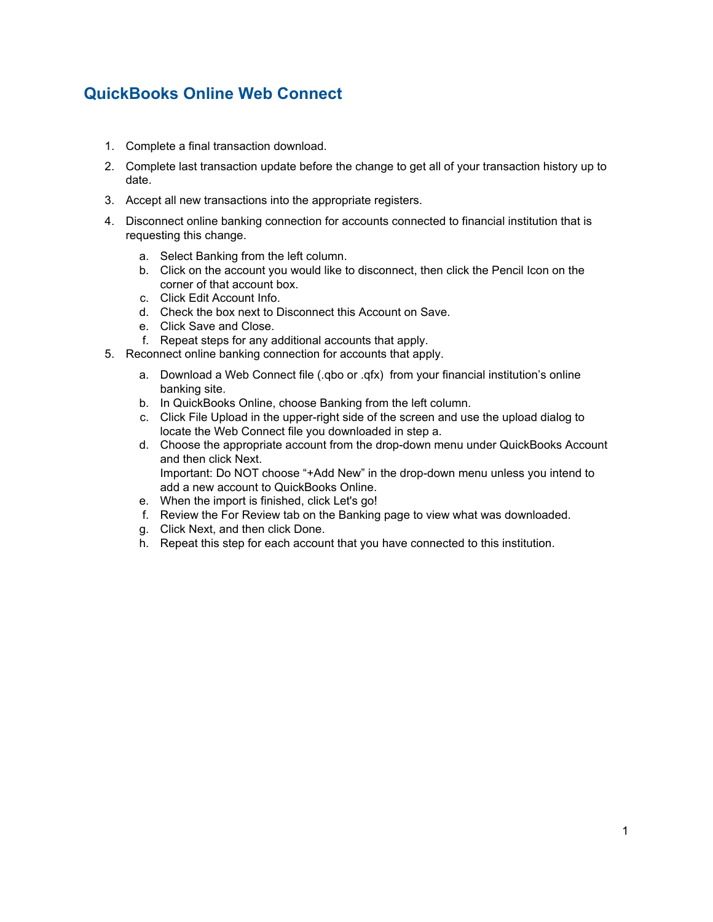## **QuickBooks Online Web Connect**

- 1. Complete a final transaction download.
- 2. Complete last transaction update before the change to get all of your transaction history up to date.
- 3. Accept all new transactions into the appropriate registers.
- 4. Disconnect online banking connection for accounts connected to financial institution that is requesting this change.
	- a. Select Banking from the left column.
	- b. Click on the account you would like to disconnect, then click the Pencil Icon on the corner of that account box.
	- c. Click Edit Account Info.
	- d. Check the box next to Disconnect this Account on Save.
	- e. Click Save and Close.
	- f. Repeat steps for any additional accounts that apply.
- 5. Reconnect online banking connection for accounts that apply.
	- a. Download a Web Connect file (.qbo or .qfx) from your financial institution's online banking site.
	- b. In QuickBooks Online, choose Banking from the left column.
	- c. Click File Upload in the upper-right side of the screen and use the upload dialog to locate the Web Connect file you downloaded in step a.
	- d. Choose the appropriate account from the drop-down menu under QuickBooks Account and then click Next. Important: Do NOT choose "+Add New" in the drop-down menu unless you intend to add a new account to QuickBooks Online.
	- e. When the import is finished, click Let's go!
	- f. Review the For Review tab on the Banking page to view what was downloaded.
	- g. Click Next, and then click Done.
	- h. Repeat this step for each account that you have connected to this institution.